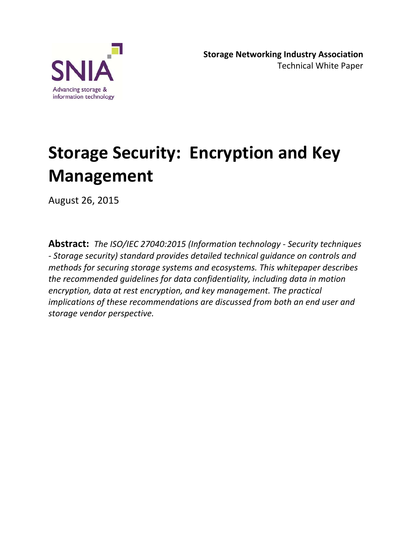

**Storage Networking Industry Association** Technical White Paper

# **Storage Security: Encryption and Key Management**

August 26, 2015

**Abstract:** *The ISO/IEC 27040:2015 (Information technology - Security techniques - Storage security) standard provides detailed technical guidance on controls and methods for securing storage systems and ecosystems. This whitepaper describes the recommended guidelines for data confidentiality, including data in motion encryption, data at rest encryption, and key management. The practical implications of these recommendations are discussed from both an end user and storage vendor perspective.*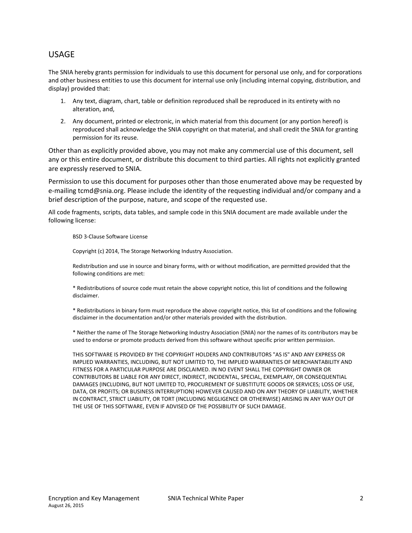#### USAGE

The SNIA hereby grants permission for individuals to use this document for personal use only, and for corporations and other business entities to use this document for internal use only (including internal copying, distribution, and display) provided that:

- 1. Any text, diagram, chart, table or definition reproduced shall be reproduced in its entirety with no alteration, and,
- 2. Any document, printed or electronic, in which material from this document (or any portion hereof) is reproduced shall acknowledge the SNIA copyright on that material, and shall credit the SNIA for granting permission for its reuse.

Other than as explicitly provided above, you may not make any commercial use of this document, sell any or this entire document, or distribute this document to third parties. All rights not explicitly granted are expressly reserved to SNIA.

Permission to use this document for purposes other than those enumerated above may be requested by e-mailing tcmd@snia.org. Please include the identity of the requesting individual and/or company and a brief description of the purpose, nature, and scope of the requested use.

All code fragments, scripts, data tables, and sample code in this SNIA document are made available under the following license:

BSD 3-Clause Software License

Copyright (c) 2014, The Storage Networking Industry Association.

Redistribution and use in source and binary forms, with or without modification, are permitted provided that the following conditions are met:

\* Redistributions of source code must retain the above copyright notice, this list of conditions and the following disclaimer.

\* Redistributions in binary form must reproduce the above copyright notice, this list of conditions and the following disclaimer in the documentation and/or other materials provided with the distribution.

\* Neither the name of The Storage Networking Industry Association (SNIA) nor the names of its contributors may be used to endorse or promote products derived from this software without specific prior written permission.

THIS SOFTWARE IS PROVIDED BY THE COPYRIGHT HOLDERS AND CONTRIBUTORS "AS IS" AND ANY EXPRESS OR IMPLIED WARRANTIES, INCLUDING, BUT NOT LIMITED TO, THE IMPLIED WARRANTIES OF MERCHANTABILITY AND FITNESS FOR A PARTICULAR PURPOSE ARE DISCLAIMED. IN NO EVENT SHALL THE COPYRIGHT OWNER OR CONTRIBUTORS BE LIABLE FOR ANY DIRECT, INDIRECT, INCIDENTAL, SPECIAL, EXEMPLARY, OR CONSEQUENTIAL DAMAGES (INCLUDING, BUT NOT LIMITED TO, PROCUREMENT OF SUBSTITUTE GOODS OR SERVICES; LOSS OF USE, DATA, OR PROFITS; OR BUSINESS INTERRUPTION) HOWEVER CAUSED AND ON ANY THEORY OF LIABILITY, WHETHER IN CONTRACT, STRICT LIABILITY, OR TORT (INCLUDING NEGLIGENCE OR OTHERWISE) ARISING IN ANY WAY OUT OF THE USE OF THIS SOFTWARE, EVEN IF ADVISED OF THE POSSIBILITY OF SUCH DAMAGE.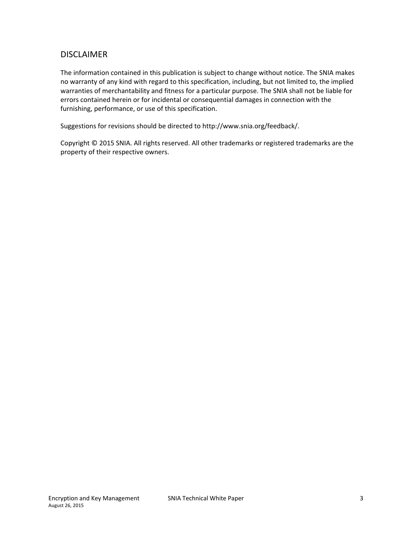#### DISCLAIMER

The information contained in this publication is subject to change without notice. The SNIA makes no warranty of any kind with regard to this specification, including, but not limited to, the implied warranties of merchantability and fitness for a particular purpose. The SNIA shall not be liable for errors contained herein or for incidental or consequential damages in connection with the furnishing, performance, or use of this specification.

Suggestions for revisions should be directed to http://www.snia.org/feedback/.

Copyright © 2015 SNIA. All rights reserved. All other trademarks or registered trademarks are the property of their respective owners.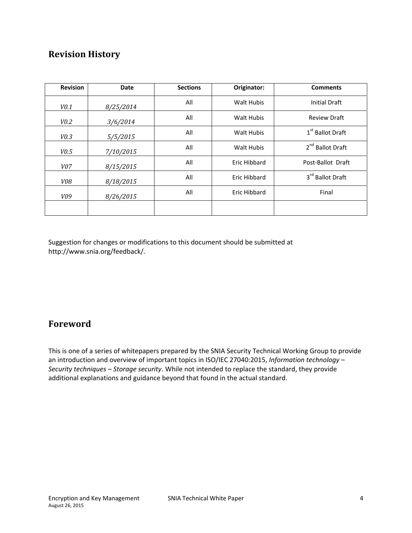### **Revision History**

| <b>Revision</b> | Date      | <b>Sections</b> | Originator:         | <b>Comments</b>              |
|-----------------|-----------|-----------------|---------------------|------------------------------|
| V0.1            | 8/25/2014 | All             | <b>Walt Hubis</b>   | <b>Initial Draft</b>         |
| V0.2            | 3/6/2014  | All             | <b>Walt Hubis</b>   | <b>Review Draft</b>          |
| V0.3            | 5/5/2015  | All             | <b>Walt Hubis</b>   | 1 <sup>st</sup> Ballot Draft |
| V0.5            | 7/10/2015 | All             | <b>Walt Hubis</b>   | 2 <sup>nd</sup> Ballot Draft |
| <i>V07</i>      | 8/15/2015 | All             | Eric Hibbard        | Post-Ballot Draft            |
| <i>V08</i>      | 8/18/2015 | All             | Eric Hibbard        | 3rd Ballot Draft             |
| V09             | 8/26/2015 | All             | <b>Eric Hibbard</b> | Final                        |
|                 |           |                 |                     |                              |

Suggestion for changes or modifications to this document should be submitted at http://www.snia.org/feedback/.

### **Foreword**

This is one of a series of whitepapers prepared by the SNIA Security Technical Working Group to provide an introduction and overview of important topics in ISO/IEC 27040:2015, *Information technology – Security techniques – Storage security*. While not intended to replace the standard, they provide additional explanations and guidance beyond that found in the actual standard.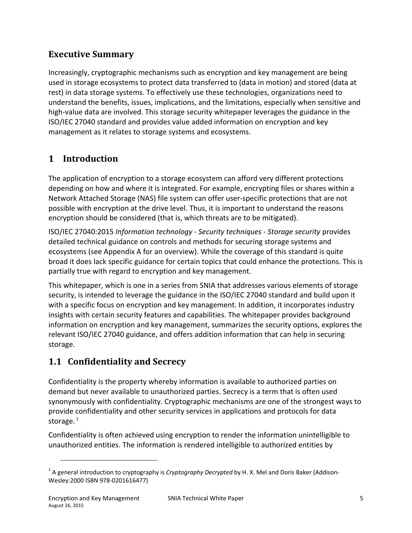### **Executive Summary**

Increasingly, cryptographic mechanisms such as encryption and key management are being used in storage ecosystems to protect data transferred to (data in motion) and stored (data at rest) in data storage systems. To effectively use these technologies, organizations need to understand the benefits, issues, implications, and the limitations, especially when sensitive and high-value data are involved. This storage security whitepaper leverages the guidance in the ISO/IEC 27040 standard and provides value added information on encryption and key management as it relates to storage systems and ecosystems.

### **1 Introduction**

The application of encryption to a storage ecosystem can afford very different protections depending on how and where it is integrated. For example, encrypting files or shares within a Network Attached Storage (NAS) file system can offer user-specific protections that are not possible with encryption at the drive level. Thus, it is important to understand the reasons encryption should be considered (that is, which threats are to be mitigated).

ISO/IEC 27040:2015 *Information technology - Security techniques - Storage security* provides detailed technical guidance on controls and methods for securing storage systems and ecosystems (see Appendix A for an overview). While the coverage of this standard is quite broad it does lack specific guidance for certain topics that could enhance the protections. This is partially true with regard to encryption and key management.

This whitepaper, which is one in a series from SNIA that addresses various elements of storage security, is intended to leverage the guidance in the ISO/IEC 27040 standard and build upon it with a specific focus on encryption and key management. In addition, it incorporates industry insights with certain security features and capabilities. The whitepaper provides background information on encryption and key management, summarizes the security options, explores the relevant ISO/IEC 27040 guidance, and offers addition information that can help in securing storage.

# **1.1 Confidentiality and Secrecy**

Confidentiality is the property whereby information is available to authorized parties on demand but never available to unauthorized parties. Secrecy is a term that is often used synonymously with confidentiality. Cryptographic mechanisms are one of the strongest ways to provide confidentiality and other security services in applications and protocols for data storage. $1$ 

Confidentiality is often achieved using encryption to render the information unintelligible to unauthorized entities. The information is rendered intelligible to authorized entities by

 $\overline{a}$ 

<sup>&</sup>lt;sup>1</sup> A general introduction to cryptography is *Cryptography Decrypted* by H. X. Mel and Doris Baker (Addison-Wesley:2000 ISBN 978-0201616477)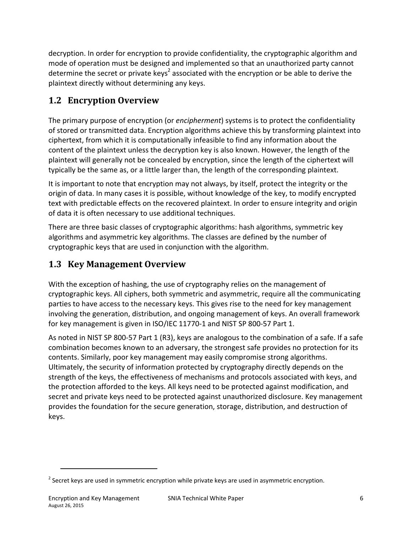decryption. In order for encryption to provide confidentiality, the cryptographic algorithm and mode of operation must be designed and implemented so that an unauthorized party cannot determine the secret or private keys<sup>2</sup> associated with the encryption or be able to derive the plaintext directly without determining any keys.

### **1.2 Encryption Overview**

The primary purpose of encryption (or *encipherment*) systems is to protect the confidentiality of stored or transmitted data. Encryption algorithms achieve this by transforming plaintext into ciphertext, from which it is computationally infeasible to find any information about the content of the plaintext unless the decryption key is also known. However, the length of the plaintext will generally not be concealed by encryption, since the length of the ciphertext will typically be the same as, or a little larger than, the length of the corresponding plaintext.

It is important to note that encryption may not always, by itself, protect the integrity or the origin of data. In many cases it is possible, without knowledge of the key, to modify encrypted text with predictable effects on the recovered plaintext. In order to ensure integrity and origin of data it is often necessary to use additional techniques.

There are three basic classes of cryptographic algorithms: hash algorithms, symmetric key algorithms and asymmetric key algorithms. The classes are defined by the number of cryptographic keys that are used in conjunction with the algorithm.

### **1.3 Key Management Overview**

With the exception of hashing, the use of cryptography relies on the management of cryptographic keys. All ciphers, both symmetric and asymmetric, require all the communicating parties to have access to the necessary keys. This gives rise to the need for key management involving the generation, distribution, and ongoing management of keys. An overall framework for key management is given in ISO/IEC 11770-1 and NIST SP 800-57 Part 1.

As noted in NIST SP 800-57 Part 1 (R3), keys are analogous to the combination of a safe. If a safe combination becomes known to an adversary, the strongest safe provides no protection for its contents. Similarly, poor key management may easily compromise strong algorithms. Ultimately, the security of information protected by cryptography directly depends on the strength of the keys, the effectiveness of mechanisms and protocols associated with keys, and the protection afforded to the keys. All keys need to be protected against modification, and secret and private keys need to be protected against unauthorized disclosure. Key management provides the foundation for the secure generation, storage, distribution, and destruction of keys.

 $\overline{\phantom{a}}$ 

 $^2$  Secret keys are used in symmetric encryption while private keys are used in asymmetric encryption.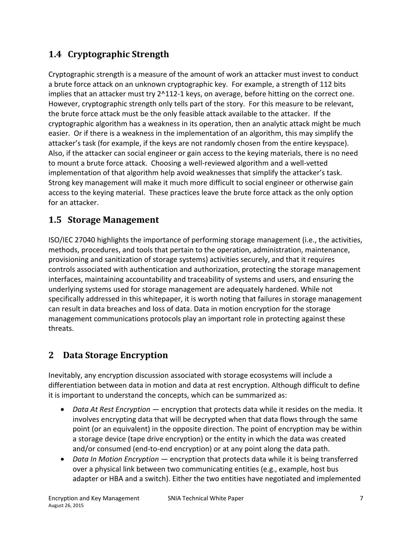# **1.4 Cryptographic Strength**

Cryptographic strength is a measure of the amount of work an attacker must invest to conduct a brute force attack on an unknown cryptographic key. For example, a strength of 112 bits implies that an attacker must try 2^112-1 keys, on average, before hitting on the correct one. However, cryptographic strength only tells part of the story. For this measure to be relevant, the brute force attack must be the only feasible attack available to the attacker. If the cryptographic algorithm has a weakness in its operation, then an analytic attack might be much easier. Or if there is a weakness in the implementation of an algorithm, this may simplify the attacker's task (for example, if the keys are not randomly chosen from the entire keyspace). Also, if the attacker can social engineer or gain access to the keying materials, there is no need to mount a brute force attack. Choosing a well-reviewed algorithm and a well-vetted implementation of that algorithm help avoid weaknesses that simplify the attacker's task. Strong key management will make it much more difficult to social engineer or otherwise gain access to the keying material. These practices leave the brute force attack as the only option for an attacker.

### **1.5 Storage Management**

ISO/IEC 27040 highlights the importance of performing storage management (i.e., the activities, methods, procedures, and tools that pertain to the operation, administration, maintenance, provisioning and sanitization of storage systems) activities securely, and that it requires controls associated with authentication and authorization, protecting the storage management interfaces, maintaining accountability and traceability of systems and users, and ensuring the underlying systems used for storage management are adequately hardened. While not specifically addressed in this whitepaper, it is worth noting that failures in storage management can result in data breaches and loss of data. Data in motion encryption for the storage management communications protocols play an important role in protecting against these threats.

# **2 Data Storage Encryption**

Inevitably, any encryption discussion associated with storage ecosystems will include a differentiation between data in motion and data at rest encryption. Although difficult to define it is important to understand the concepts, which can be summarized as:

- *Data At Rest Encryption —* encryption that protects data while it resides on the media. It involves encrypting data that will be decrypted when that data flows through the same point (or an equivalent) in the opposite direction. The point of encryption may be within a storage device (tape drive encryption) or the entity in which the data was created and/or consumed (end-to-end encryption) or at any point along the data path.
- *Data In Motion Encryption* encryption that protects data while it is being transferred over a physical link between two communicating entities (e.g., example, host bus adapter or HBA and a switch). Either the two entities have negotiated and implemented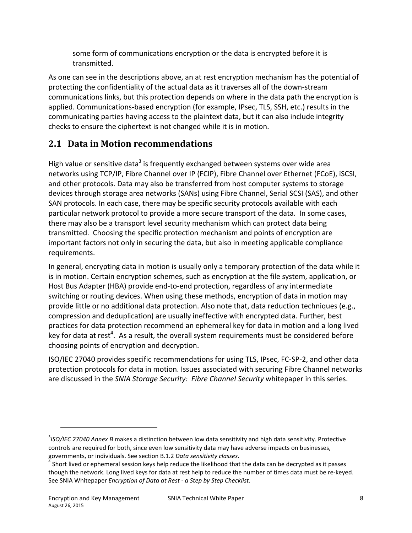some form of communications encryption or the data is encrypted before it is transmitted.

As one can see in the descriptions above, an at rest encryption mechanism has the potential of protecting the confidentiality of the actual data as it traverses all of the down-stream communications links, but this protection depends on where in the data path the encryption is applied. Communications-based encryption (for example, IPsec, TLS, SSH, etc.) results in the communicating parties having access to the plaintext data, but it can also include integrity checks to ensure the ciphertext is not changed while it is in motion.

## **2.1 Data in Motion recommendations**

High value or sensitive data<sup>3</sup> is frequently exchanged between systems over wide area networks using TCP/IP, Fibre Channel over IP (FCIP), Fibre Channel over Ethernet (FCoE), iSCSI, and other protocols. Data may also be transferred from host computer systems to storage devices through storage area networks (SANs) using Fibre Channel, Serial SCSI (SAS), and other SAN protocols. In each case, there may be specific security protocols available with each particular network protocol to provide a more secure transport of the data. In some cases, there may also be a transport level security mechanism which can protect data being transmitted. Choosing the specific protection mechanism and points of encryption are important factors not only in securing the data, but also in meeting applicable compliance requirements.

In general, encrypting data in motion is usually only a temporary protection of the data while it is in motion. Certain encryption schemes, such as encryption at the file system, application, or Host Bus Adapter (HBA) provide end-to-end protection, regardless of any intermediate switching or routing devices. When using these methods, encryption of data in motion may provide little or no additional data protection. Also note that, data reduction techniques (e.g., compression and deduplication) are usually ineffective with encrypted data. Further, best practices for data protection recommend an ephemeral key for data in motion and a long lived key for data at rest<sup>4</sup>. As a result, the overall system requirements must be considered before choosing points of encryption and decryption.

ISO/IEC 27040 provides specific recommendations for using TLS, IPsec, FC-SP-2, and other data protection protocols for data in motion. Issues associated with securing Fibre Channel networks are discussed in the *SNIA Storage Security: Fibre Channel Security* whitepaper in this series.

 $\overline{a}$ 

<sup>3</sup> *ISO/IEC 27040 Annex B* makes a distinction between low data sensitivity and high data sensitivity. Protective controls are required for both, since even low sensitivity data may have adverse impacts on businesses, governments, or individuals. See section B.1.2 *Data sensitivity classes*. 4

Short lived or ephemeral session keys help reduce the likelihood that the data can be decrypted as it passes though the network. Long lived keys for data at rest help to reduce the number of times data must be re-keyed. See SNIA Whitepaper *Encryption of Data at Rest - a Step by Step Checklist*.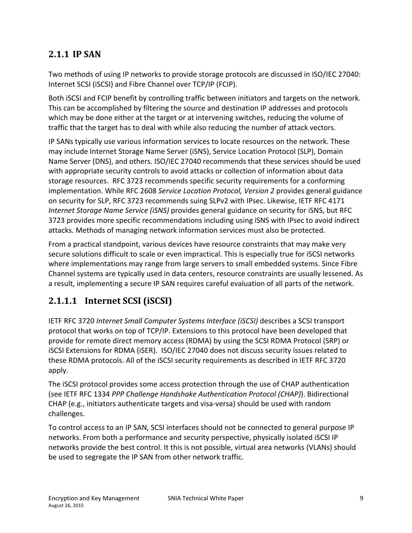### **2.1.1 IP SAN**

Two methods of using IP networks to provide storage protocols are discussed in ISO/IEC 27040: Internet SCSI (iSCSI) and Fibre Channel over TCP/IP (FCIP).

Both iSCSI and FCIP benefit by controlling traffic between initiators and targets on the network. This can be accomplished by filtering the source and destination IP addresses and protocols which may be done either at the target or at intervening switches, reducing the volume of traffic that the target has to deal with while also reducing the number of attack vectors.

IP SANs typically use various information services to locate resources on the network. These may include Internet Storage Name Server (iSNS), Service Location Protocol (SLP), Domain Name Server (DNS), and others. ISO/IEC 27040 recommends that these services should be used with appropriate security controls to avoid attacks or collection of information about data storage resources. RFC 3723 recommends specific security requirements for a conforming implementation. While RFC 2608 *Service Location Protocol, Version 2* provides general guidance on security for SLP, RFC 3723 recommends suing SLPv2 with IPsec. Likewise, IETF RFC 4171 *Internet Storage Name Service (iSNS)* provides general guidance on security for iSNS, but RFC 3723 provides more specific recommendations including using iSNS with IPsec to avoid indirect attacks. Methods of managing network information services must also be protected.

From a practical standpoint, various devices have resource constraints that may make very secure solutions difficult to scale or even impractical. This is especially true for iSCSI networks where implementations may range from large servers to small embedded systems. Since Fibre Channel systems are typically used in data centers, resource constraints are usually lessened. As a result, implementing a secure IP SAN requires careful evaluation of all parts of the network.

### **2.1.1.1 Internet SCSI (iSCSI)**

IETF RFC 3720 *Internet Small Computer Systems Interface (iSCSI)* describes a SCSI transport protocol that works on top of TCP/IP. Extensions to this protocol have been developed that provide for remote direct memory access (RDMA) by using the SCSI RDMA Protocol (SRP) or iSCSI Extensions for RDMA (iSER). ISO/IEC 27040 does not discuss security issues related to these RDMA protocols. All of the iSCSI security requirements as described in IETF RFC 3720 apply.

The iSCSI protocol provides some access protection through the use of CHAP authentication (see IETF RFC 1334 *PPP Challenge Handshake Authentication Protocol (CHAP)*). Bidirectional CHAP (e.g., initiators authenticate targets and visa-versa) should be used with random challenges.

To control access to an IP SAN, SCSI interfaces should not be connected to general purpose IP networks. From both a performance and security perspective, physically isolated iSCSI IP networks provide the best control. It this is not possible, virtual area networks (VLANs) should be used to segregate the IP SAN from other network traffic.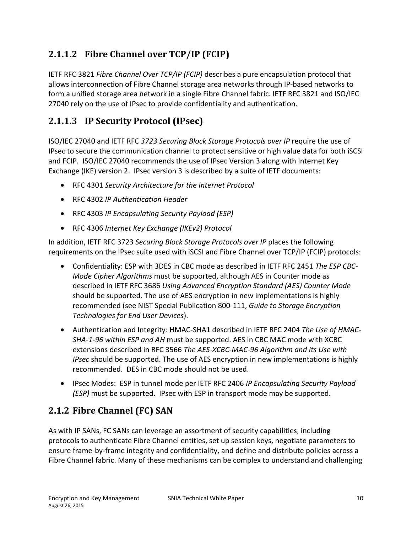# **2.1.1.2 Fibre Channel over TCP/IP (FCIP)**

IETF RFC 3821 *Fibre Channel Over TCP/IP (FCIP)* describes a pure encapsulation protocol that allows interconnection of Fibre Channel storage area networks through IP-based networks to form a unified storage area network in a single Fibre Channel fabric. IETF RFC 3821 and ISO/IEC 27040 rely on the use of IPsec to provide confidentiality and authentication.

### **2.1.1.3 IP Security Protocol (IPsec)**

ISO/IEC 27040 and IETF RFC *3723 Securing Block Storage Protocols over IP* require the use of IPsec to secure the communication channel to protect sensitive or high value data for both iSCSI and FCIP. ISO/IEC 27040 recommends the use of IPsec Version 3 along with Internet Key Exchange (IKE) version 2. IPsec version 3 is described by a suite of IETF documents:

- RFC 4301 *Security Architecture for the Internet Protocol*
- RFC 4302 *IP Authentication Header*
- RFC 4303 *IP Encapsulating Security Payload (ESP)*
- RFC 4306 *Internet Key Exchange (IKEv2) Protocol*

In addition, IETF RFC 3723 *Securing Block Storage Protocols over IP* places the following requirements on the IPsec suite used with iSCSI and Fibre Channel over TCP/IP (FCIP) protocols:

- Confidentiality: ESP with 3DES in CBC mode as described in IETF RFC 2451 *The ESP CBC-Mode Cipher Algorithms* must be supported, although AES in Counter mode as described in IETF RFC 3686 *Using Advanced Encryption Standard (AES) Counter Mode* should be supported. The use of AES encryption in new implementations is highly recommended (see NIST Special Publication 800-111, *Guide to Storage Encryption Technologies for End User Devices*).
- Authentication and Integrity: HMAC-SHA1 described in IETF RFC 2404 *The Use of HMAC-SHA-1-96 within ESP and AH* must be supported. AES in CBC MAC mode with XCBC extensions described in RFC 3566 *The AES-XCBC-MAC-96 Algorithm and Its Use with IPsec* should be supported. The use of AES encryption in new implementations is highly recommended. DES in CBC mode should not be used.
- IPsec Modes: ESP in tunnel mode per IETF RFC 2406 *IP Encapsulating Security Payload (ESP)* must be supported. IPsec with ESP in transport mode may be supported.

### **2.1.2 Fibre Channel (FC) SAN**

As with IP SANs, FC SANs can leverage an assortment of security capabilities, including protocols to authenticate Fibre Channel entities, set up session keys, negotiate parameters to ensure frame-by-frame integrity and confidentiality, and define and distribute policies across a Fibre Channel fabric. Many of these mechanisms can be complex to understand and challenging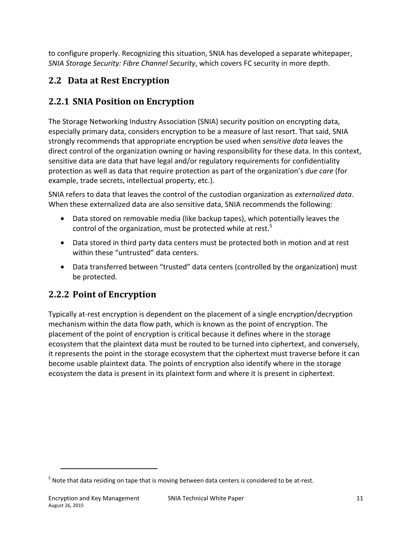to configure properly. Recognizing this situation, SNIA has developed a separate whitepaper, *SNIA Storage Security: Fibre Channel Security*, which covers FC security in more depth.

# **2.2 Data at Rest Encryption**

# **2.2.1 SNIA Position on Encryption**

The Storage Networking Industry Association (SNIA) security position on encrypting data, especially primary data, considers encryption to be a measure of last resort. That said, SNIA strongly recommends that appropriate encryption be used when *sensitive data* leaves the direct control of the organization owning or having responsibility for these data. In this context, sensitive data are data that have legal and/or regulatory requirements for confidentiality protection as well as data that require protection as part of the organization's *due care* (for example, trade secrets, intellectual property, etc.).

SNIA refers to data that leaves the control of the custodian organization as *externalized data*. When these externalized data are also sensitive data, SNIA recommends the following:

- Data stored on removable media (like backup tapes), which potentially leaves the control of the organization, must be protected while at rest.<sup>5</sup>
- Data stored in third party data centers must be protected both in motion and at rest within these "untrusted" data centers.
- Data transferred between "trusted" data centers (controlled by the organization) must be protected.

# **2.2.2 Point of Encryption**

Typically at-rest encryption is dependent on the placement of a single encryption/decryption mechanism within the data flow path, which is known as the point of encryption. The placement of the point of encryption is critical because it defines where in the storage ecosystem that the plaintext data must be routed to be turned into ciphertext, and conversely, it represents the point in the storage ecosystem that the ciphertext must traverse before it can become usable plaintext data. The points of encryption also identify where in the storage ecosystem the data is present in its plaintext form and where it is present in ciphertext.

 $\overline{\phantom{a}}$ 

 $<sup>5</sup>$  Note that data residing on tape that is moving between data centers is considered to be at-rest.</sup>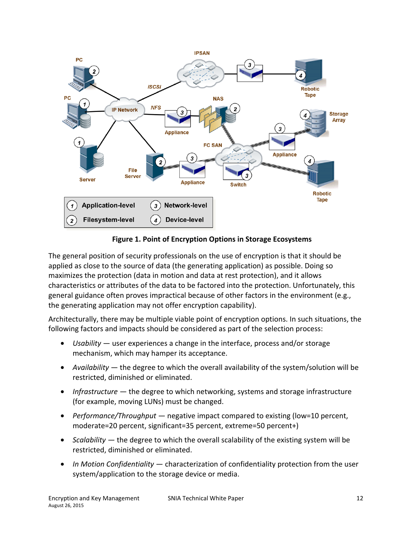

**Figure 1. Point of Encryption Options in Storage Ecosystems**

The general position of security professionals on the use of encryption is that it should be applied as close to the source of data (the generating application) as possible. Doing so maximizes the protection (data in motion and data at rest protection), and it allows characteristics or attributes of the data to be factored into the protection. Unfortunately, this general guidance often proves impractical because of other factors in the environment (e.g., the generating application may not offer encryption capability).

Architecturally, there may be multiple viable point of encryption options. In such situations, the following factors and impacts should be considered as part of the selection process:

- *Usability* user experiences a change in the interface, process and/or storage mechanism, which may hamper its acceptance.
- *Availability* the degree to which the overall availability of the system/solution will be restricted, diminished or eliminated.
- *Infrastructure* the degree to which networking, systems and storage infrastructure (for example, moving LUNs) must be changed.
- *Performance/Throughput* negative impact compared to existing (low=10 percent, moderate=20 percent, significant=35 percent, extreme=50 percent+)
- *Scalability* the degree to which the overall scalability of the existing system will be restricted, diminished or eliminated.
- *In Motion Confidentiality* characterization of confidentiality protection from the user system/application to the storage device or media.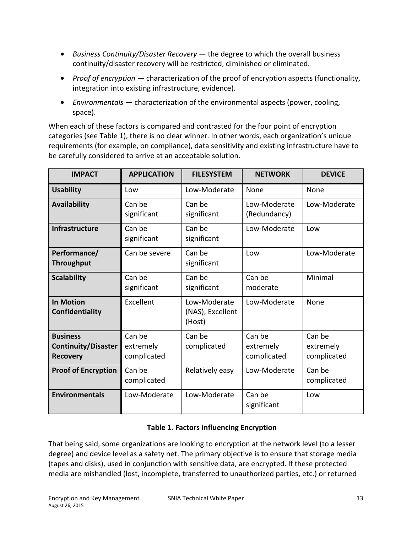- *Business Continuity/Disaster Recovery* the degree to which the overall business continuity/disaster recovery will be restricted, diminished or eliminated.
- *Proof of encryption* characterization of the proof of encryption aspects (functionality, integration into existing infrastructure, evidence).
- *Environmentals* characterization of the environmental aspects (power, cooling, space).

When each of these factors is compared and contrasted for the four point of encryption categories (see Table 1), there is no clear winner. In other words, each organization's unique requirements (for example, on compliance), data sensitivity and existing infrastructure have to be carefully considered to arrive at an acceptable solution.

| <b>IMPACT</b>                                                    | <b>APPLICATION</b>                 | <b>FILESYSTEM</b>                          | <b>NETWORK</b>                     | <b>DEVICE</b>                      |
|------------------------------------------------------------------|------------------------------------|--------------------------------------------|------------------------------------|------------------------------------|
| <b>Usability</b>                                                 | Low                                | Low-Moderate                               | None                               | None                               |
| Availability                                                     | Can be<br>significant              | Can be<br>significant                      | Low-Moderate<br>(Redundancy)       | Low-Moderate                       |
| <b>Infrastructure</b>                                            | Can be<br>significant              | Can be<br>significant                      | Low-Moderate                       | Low                                |
| Performance/<br><b>Throughput</b>                                | Can be severe                      | Can be<br>significant                      | Low                                | Low-Moderate                       |
| <b>Scalability</b>                                               | Can be<br>significant              | Can be<br>significant                      | Can be<br>moderate                 | Minimal                            |
| <b>In Motion</b><br>Confidentiality                              | Excellent                          | Low-Moderate<br>(NAS); Excellent<br>(Host) | Low-Moderate                       | None                               |
| <b>Business</b><br><b>Continuity/Disaster</b><br><b>Recovery</b> | Can be<br>extremely<br>complicated | Can be<br>complicated                      | Can be<br>extremely<br>complicated | Can be<br>extremely<br>complicated |
| <b>Proof of Encryption</b>                                       | Can be<br>complicated              | Relatively easy                            | Low-Moderate                       | Can be<br>complicated              |
| <b>Environmentals</b>                                            | Low-Moderate                       | Low-Moderate                               | Can be<br>significant              | Low                                |

#### **Table 1. Factors Influencing Encryption**

That being said, some organizations are looking to encryption at the network level (to a lesser degree) and device level as a safety net. The primary objective is to ensure that storage media (tapes and disks), used in conjunction with sensitive data, are encrypted. If these protected media are mishandled (lost, incomplete, transferred to unauthorized parties, etc.) or returned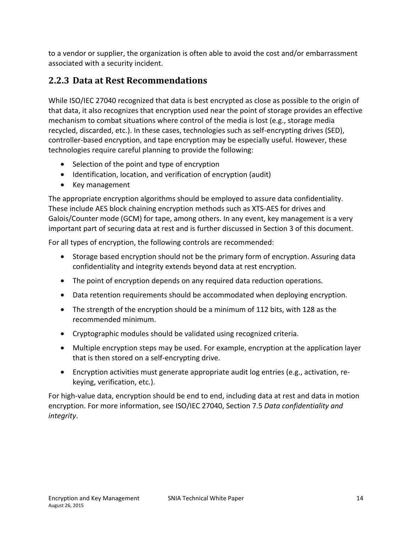to a vendor or supplier, the organization is often able to avoid the cost and/or embarrassment associated with a security incident.

### **2.2.3 Data at Rest Recommendations**

While ISO/IEC 27040 recognized that data is best encrypted as close as possible to the origin of that data, it also recognizes that encryption used near the point of storage provides an effective mechanism to combat situations where control of the media is lost (e.g., storage media recycled, discarded, etc.). In these cases, technologies such as self-encrypting drives (SED), controller-based encryption, and tape encryption may be especially useful. However, these technologies require careful planning to provide the following:

- Selection of the point and type of encryption
- Identification, location, and verification of encryption (audit)
- Key management

The appropriate encryption algorithms should be employed to assure data confidentiality. These include AES block chaining encryption methods such as XTS-AES for drives and Galois/Counter mode (GCM) for tape, among others. In any event, key management is a very important part of securing data at rest and is further discussed in Section 3 of this document.

For all types of encryption, the following controls are recommended:

- Storage based encryption should not be the primary form of encryption. Assuring data confidentiality and integrity extends beyond data at rest encryption.
- The point of encryption depends on any required data reduction operations.
- Data retention requirements should be accommodated when deploying encryption.
- The strength of the encryption should be a minimum of 112 bits, with 128 as the recommended minimum.
- Cryptographic modules should be validated using recognized criteria.
- Multiple encryption steps may be used. For example, encryption at the application layer that is then stored on a self-encrypting drive.
- Encryption activities must generate appropriate audit log entries (e.g., activation, rekeying, verification, etc.).

For high-value data, encryption should be end to end, including data at rest and data in motion encryption. For more information, see ISO/IEC 27040, Section 7.5 *Data confidentiality and integrity*.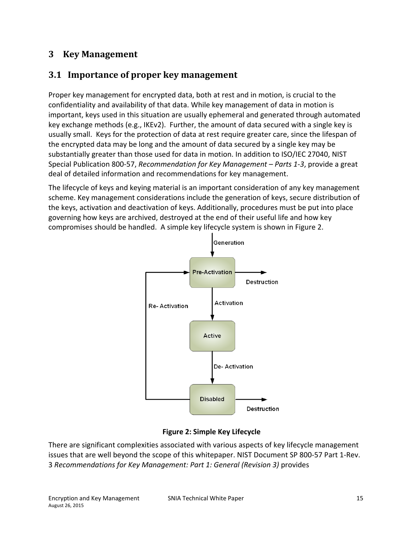### **3 Key Management**

### **3.1 Importance of proper key management**

Proper key management for encrypted data, both at rest and in motion, is crucial to the confidentiality and availability of that data. While key management of data in motion is important, keys used in this situation are usually ephemeral and generated through automated key exchange methods (e.g., IKEv2). Further, the amount of data secured with a single key is usually small. Keys for the protection of data at rest require greater care, since the lifespan of the encrypted data may be long and the amount of data secured by a single key may be substantially greater than those used for data in motion. In addition to ISO/IEC 27040, NIST Special Publication 800-57, *Recommendation for Key Management – Parts 1-3*, provide a great deal of detailed information and recommendations for key management.

The lifecycle of keys and keying material is an important consideration of any key management scheme. Key management considerations include the generation of keys, secure distribution of the keys, activation and deactivation of keys. Additionally, procedures must be put into place governing how keys are archived, destroyed at the end of their useful life and how key compromises should be handled. A simple key lifecycle system is shown in Figure 2.



#### **Figure 2: Simple Key Lifecycle**

There are significant complexities associated with various aspects of key lifecycle management issues that are well beyond the scope of this whitepaper. NIST Document SP 800-57 Part 1-Rev. 3 *Recommendations for Key Management: Part 1: General (Revision 3)* provides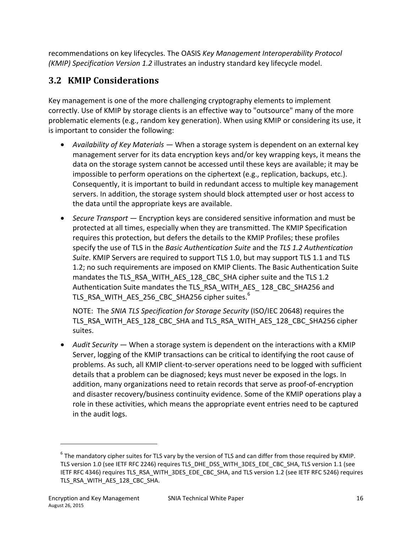recommendations on key lifecycles. The OASIS *Key Management Interoperability Protocol (KMIP) Specification Version 1.2* illustrates an industry standard key lifecycle model.

# **3.2 KMIP Considerations**

Key management is one of the more challenging cryptography elements to implement correctly. Use of KMIP by storage clients is an effective way to "outsource" many of the more problematic elements (e.g., random key generation). When using KMIP or considering its use, it is important to consider the following:

- *Availability of Key Materials* When a storage system is dependent on an external key management server for its data encryption keys and/or key wrapping keys, it means the data on the storage system cannot be accessed until these keys are available; it may be impossible to perform operations on the ciphertext (e.g., replication, backups, etc.). Consequently, it is important to build in redundant access to multiple key management servers. In addition, the storage system should block attempted user or host access to the data until the appropriate keys are available.
- *Secure Transport* Encryption keys are considered sensitive information and must be protected at all times, especially when they are transmitted. The KMIP Specification requires this protection, but defers the details to the KMIP Profiles; these profiles specify the use of TLS in the *Basic Authentication Suite* and the *TLS 1.2 Authentication Suite*. KMIP Servers are required to support TLS 1.0, but may support TLS 1.1 and TLS 1.2; no such requirements are imposed on KMIP Clients. The Basic Authentication Suite mandates the TLS\_RSA\_WITH\_AES\_128\_CBC\_SHA cipher suite and the TLS 1.2 Authentication Suite mandates the TLS\_RSA\_WITH\_AES\_ 128\_CBC\_SHA256 and <code>TLS\_RSA\_WITH\_AES\_256\_CBC\_SHA256</code> cipher suites. $^6$

NOTE: The *SNIA TLS Specification for Storage Security* (ISO/IEC 20648) requires the TLS\_RSA\_WITH\_AES\_128\_CBC\_SHA and TLS\_RSA\_WITH\_AES\_128\_CBC\_SHA256 cipher suites.

• *Audit Security —* When a storage system is dependent on the interactions with a KMIP Server, logging of the KMIP transactions can be critical to identifying the root cause of problems. As such, all KMIP client-to-server operations need to be logged with sufficient details that a problem can be diagnosed; keys must never be exposed in the logs. In addition, many organizations need to retain records that serve as proof-of-encryption and disaster recovery/business continuity evidence. Some of the KMIP operations play a role in these activities, which means the appropriate event entries need to be captured in the audit logs.

 $\overline{a}$ 

 $^6$  The mandatory cipher suites for TLS vary by the version of TLS and can differ from those required by KMIP. TLS version 1.0 (see IETF RFC 2246) requires TLS\_DHE\_DSS\_WITH\_3DES\_EDE\_CBC\_SHA, TLS version 1.1 (see IETF RFC 4346) requires TLS\_RSA\_WITH\_3DES\_EDE\_CBC\_SHA, and TLS version 1.2 (see IETF RFC 5246) requires TLS\_RSA\_WITH\_AES\_128\_CBC\_SHA.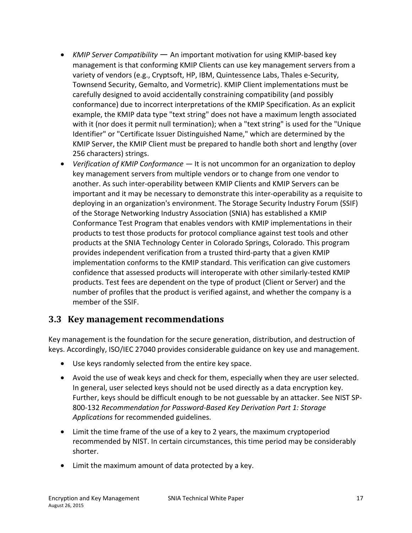- *KMIP Server Compatibility* An important motivation for using KMIP-based key management is that conforming KMIP Clients can use key management servers from a variety of vendors (e.g., Cryptsoft, HP, IBM, Quintessence Labs, Thales e-Security, Townsend Security, Gemalto, and Vormetric). KMIP Client implementations must be carefully designed to avoid accidentally constraining compatibility (and possibly conformance) due to incorrect interpretations of the KMIP Specification. As an explicit example, the KMIP data type "text string" does not have a maximum length associated with it (nor does it permit null termination); when a "text string" is used for the "Unique Identifier" or "Certificate Issuer Distinguished Name," which are determined by the KMIP Server, the KMIP Client must be prepared to handle both short and lengthy (over 256 characters) strings.
- *Verification of KMIP Conformance* It is not uncommon for an organization to deploy key management servers from multiple vendors or to change from one vendor to another. As such inter-operability between KMIP Clients and KMIP Servers can be important and it may be necessary to demonstrate this inter-operability as a requisite to deploying in an organization's environment. The Storage Security Industry Forum (SSIF) of the Storage Networking Industry Association (SNIA) has established a KMIP Conformance Test Program that enables vendors with KMIP implementations in their products to test those products for protocol compliance against test tools and other products at the SNIA Technology Center in Colorado Springs, Colorado. This program provides independent verification from a trusted third-party that a given KMIP implementation conforms to the KMIP standard. This verification can give customers confidence that assessed products will interoperate with other similarly-tested KMIP products. Test fees are dependent on the type of product (Client or Server) and the number of profiles that the product is verified against, and whether the company is a member of the SSIF.

### **3.3 Key management recommendations**

Key management is the foundation for the secure generation, distribution, and destruction of keys. Accordingly, ISO/IEC 27040 provides considerable guidance on key use and management.

- Use keys randomly selected from the entire key space.
- Avoid the use of weak keys and check for them, especially when they are user selected. In general, user selected keys should not be used directly as a data encryption key. Further, keys should be difficult enough to be not guessable by an attacker. See NIST SP-800-132 *Recommendation for Password-Based Key Derivation Part 1: Storage Applications* for recommended guidelines.
- Limit the time frame of the use of a key to 2 years, the maximum cryptoperiod recommended by NIST. In certain circumstances, this time period may be considerably shorter.
- Limit the maximum amount of data protected by a key.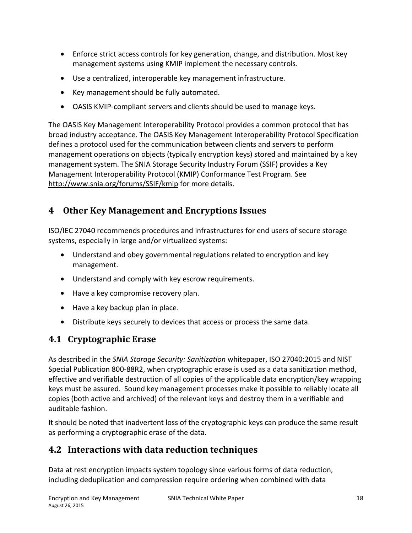- Enforce strict access controls for key generation, change, and distribution. Most key management systems using KMIP implement the necessary controls.
- Use a centralized, interoperable key management infrastructure.
- Key management should be fully automated.
- OASIS KMIP-compliant servers and clients should be used to manage keys.

The OASIS Key Management Interoperability Protocol provides a common protocol that has broad industry acceptance. The OASIS Key Management Interoperability Protocol Specification defines a protocol used for the communication between clients and servers to perform management operations on objects (typically encryption keys) stored and maintained by a key management system. The SNIA Storage Security Industry Forum (SSIF) provides a Key Management Interoperability Protocol (KMIP) Conformance Test Program. See http://www.snia.org/forums/SSIF/kmip for more details.

# **4 Other Key Management and Encryptions Issues**

ISO/IEC 27040 recommends procedures and infrastructures for end users of secure storage systems, especially in large and/or virtualized systems:

- Understand and obey governmental regulations related to encryption and key management.
- Understand and comply with key escrow requirements.
- Have a key compromise recovery plan.
- Have a key backup plan in place.
- Distribute keys securely to devices that access or process the same data.

# **4.1 Cryptographic Erase**

As described in the *SNIA Storage Security: Sanitization* whitepaper, ISO 27040:2015 and NIST Special Publication 800-88R2, when cryptographic erase is used as a data sanitization method, effective and verifiable destruction of all copies of the applicable data encryption/key wrapping keys must be assured. Sound key management processes make it possible to reliably locate all copies (both active and archived) of the relevant keys and destroy them in a verifiable and auditable fashion.

It should be noted that inadvertent loss of the cryptographic keys can produce the same result as performing a cryptographic erase of the data.

### **4.2 Interactions with data reduction techniques**

Data at rest encryption impacts system topology since various forms of data reduction, including deduplication and compression require ordering when combined with data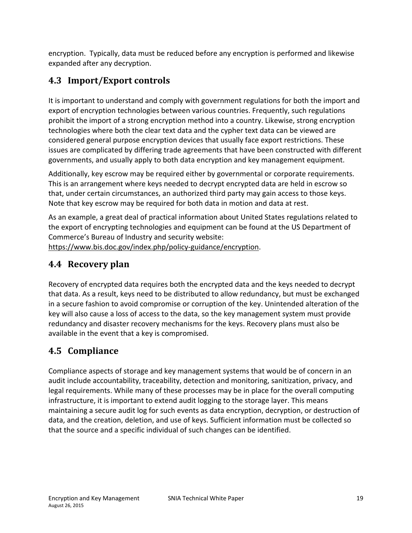encryption. Typically, data must be reduced before any encryption is performed and likewise expanded after any decryption.

# **4.3 Import/Export controls**

It is important to understand and comply with government regulations for both the import and export of encryption technologies between various countries. Frequently, such regulations prohibit the import of a strong encryption method into a country. Likewise, strong encryption technologies where both the clear text data and the cypher text data can be viewed are considered general purpose encryption devices that usually face export restrictions. These issues are complicated by differing trade agreements that have been constructed with different governments, and usually apply to both data encryption and key management equipment.

Additionally, key escrow may be required either by governmental or corporate requirements. This is an arrangement where keys needed to decrypt encrypted data are held in escrow so that, under certain circumstances, an authorized third party may gain access to those keys. Note that key escrow may be required for both data in motion and data at rest.

As an example, a great deal of practical information about United States regulations related to the export of encrypting technologies and equipment can be found at the US Department of Commerce's Bureau of Industry and security website:

https://www.bis.doc.gov/index.php/policy-guidance/encryption.

## **4.4 Recovery plan**

Recovery of encrypted data requires both the encrypted data and the keys needed to decrypt that data. As a result, keys need to be distributed to allow redundancy, but must be exchanged in a secure fashion to avoid compromise or corruption of the key. Unintended alteration of the key will also cause a loss of access to the data, so the key management system must provide redundancy and disaster recovery mechanisms for the keys. Recovery plans must also be available in the event that a key is compromised.

# **4.5 Compliance**

Compliance aspects of storage and key management systems that would be of concern in an audit include accountability, traceability, detection and monitoring, sanitization, privacy, and legal requirements. While many of these processes may be in place for the overall computing infrastructure, it is important to extend audit logging to the storage layer. This means maintaining a secure audit log for such events as data encryption, decryption, or destruction of data, and the creation, deletion, and use of keys. Sufficient information must be collected so that the source and a specific individual of such changes can be identified.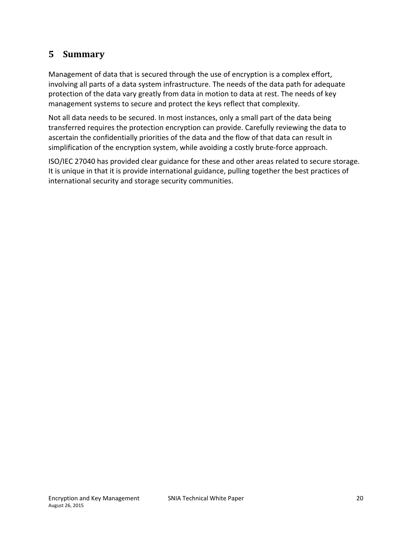### **5 Summary**

Management of data that is secured through the use of encryption is a complex effort, involving all parts of a data system infrastructure. The needs of the data path for adequate protection of the data vary greatly from data in motion to data at rest. The needs of key management systems to secure and protect the keys reflect that complexity.

Not all data needs to be secured. In most instances, only a small part of the data being transferred requires the protection encryption can provide. Carefully reviewing the data to ascertain the confidentially priorities of the data and the flow of that data can result in simplification of the encryption system, while avoiding a costly brute-force approach.

ISO/IEC 27040 has provided clear guidance for these and other areas related to secure storage. It is unique in that it is provide international guidance, pulling together the best practices of international security and storage security communities.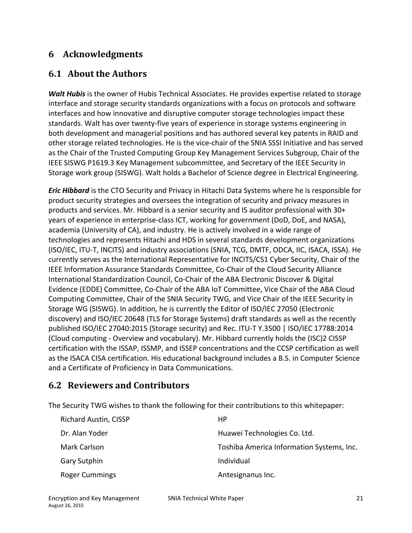### **6 Acknowledgments**

### **6.1 About the Authors**

*Walt Hubis* is the owner of Hubis Technical Associates. He provides expertise related to storage interface and storage security standards organizations with a focus on protocols and software interfaces and how innovative and disruptive computer storage technologies impact these standards. Walt has over twenty-five years of experience in storage systems engineering in both development and managerial positions and has authored several key patents in RAID and other storage related technologies. He is the vice-chair of the SNIA SSSI Initiative and has served as the Chair of the Trusted Computing Group Key Management Services Subgroup, Chair of the IEEE SISWG P1619.3 Key Management subcommittee, and Secretary of the IEEE Security in Storage work group (SISWG). Walt holds a Bachelor of Science degree in Electrical Engineering.

*Eric Hibbard* is the CTO Security and Privacy in Hitachi Data Systems where he is responsible for product security strategies and oversees the integration of security and privacy measures in products and services. Mr. Hibbard is a senior security and IS auditor professional with 30+ years of experience in enterprise-class ICT, working for government (DoD, DoE, and NASA), academia (University of CA), and industry. He is actively involved in a wide range of technologies and represents Hitachi and HDS in several standards development organizations (ISO/IEC, ITU-T, INCITS) and industry associations (SNIA, TCG, DMTF, ODCA, IIC, ISACA, ISSA). He currently serves as the International Representative for INCITS/CS1 Cyber Security, Chair of the IEEE Information Assurance Standards Committee, Co-Chair of the Cloud Security Alliance International Standardization Council, Co-Chair of the ABA Electronic Discover & Digital Evidence (EDDE) Committee, Co-Chair of the ABA IoT Committee, Vice Chair of the ABA Cloud Computing Committee, Chair of the SNIA Security TWG, and Vice Chair of the IEEE Security in Storage WG (SISWG). In addition, he is currently the Editor of ISO/IEC 27050 (Electronic discovery) and ISO/IEC 20648 (TLS for Storage Systems) draft standards as well as the recently published ISO/IEC 27040:2015 (Storage security) and Rec. ITU-T Y.3500 | ISO/IEC 17788:2014 (Cloud computing - Overview and vocabulary). Mr. Hibbard currently holds the (ISC)2 CISSP certification with the ISSAP, ISSMP, and ISSEP concentrations and the CCSP certification as well as the ISACA CISA certification. His educational background includes a B.S. in Computer Science and a Certificate of Proficiency in Data Communications.

### **6.2 Reviewers and Contributors**

The Security TWG wishes to thank the following for their contributions to this whitepaper:

| <b>Richard Austin, CISSP</b> | НP                                        |
|------------------------------|-------------------------------------------|
| Dr. Alan Yoder               | Huawei Technologies Co. Ltd.              |
| Mark Carlson                 | Toshiba America Information Systems, Inc. |
| <b>Gary Sutphin</b>          | Individual                                |
| <b>Roger Cummings</b>        | Antesignanus Inc.                         |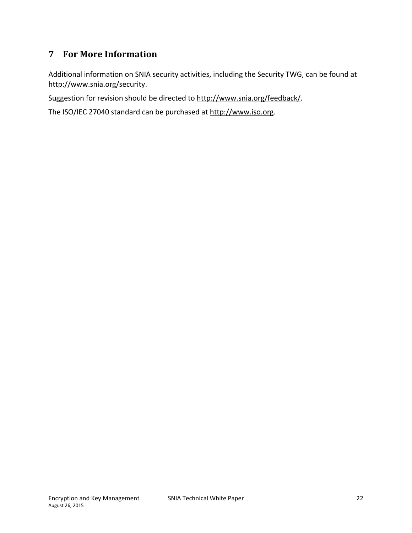### **7 For More Information**

Additional information on SNIA security activities, including the Security TWG, can be found at http://www.snia.org/security.

Suggestion for revision should be directed to http://www.snia.org/feedback/.

The ISO/IEC 27040 standard can be purchased at http://www.iso.org.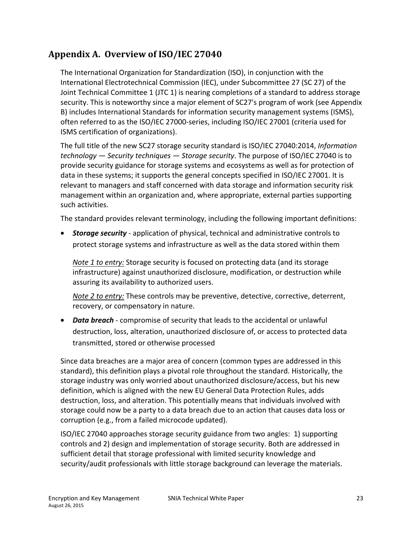### **Appendix A. Overview of ISO/IEC 27040**

The International Organization for Standardization (ISO), in conjunction with the International Electrotechnical Commission (IEC), under Subcommittee 27 (SC 27) of the Joint Technical Committee 1 (JTC 1) is nearing completions of a standard to address storage security. This is noteworthy since a major element of SC27's program of work (see Appendix B) includes International Standards for information security management systems (ISMS), often referred to as the ISO/IEC 27000-series, including ISO/IEC 27001 (criteria used for ISMS certification of organizations).

The full title of the new SC27 storage security standard is ISO/IEC 27040:2014, *Information technology — Security techniques — Storage security*. The purpose of ISO/IEC 27040 is to provide security guidance for storage systems and ecosystems as well as for protection of data in these systems; it supports the general concepts specified in ISO/IEC 27001. It is relevant to managers and staff concerned with data storage and information security risk management within an organization and, where appropriate, external parties supporting such activities.

The standard provides relevant terminology, including the following important definitions:

• *Storage security* - application of physical, technical and administrative controls to protect storage systems and infrastructure as well as the data stored within them

*Note 1 to entry:* Storage security is focused on protecting data (and its storage infrastructure) against unauthorized disclosure, modification, or destruction while assuring its availability to authorized users.

*Note 2 to entry:* These controls may be preventive, detective, corrective, deterrent, recovery, or compensatory in nature.

• *Data breach* - compromise of security that leads to the accidental or unlawful destruction, loss, alteration, unauthorized disclosure of, or access to protected data transmitted, stored or otherwise processed

Since data breaches are a major area of concern (common types are addressed in this standard), this definition plays a pivotal role throughout the standard. Historically, the storage industry was only worried about unauthorized disclosure/access, but his new definition, which is aligned with the new EU General Data Protection Rules, adds destruction, loss, and alteration. This potentially means that individuals involved with storage could now be a party to a data breach due to an action that causes data loss or corruption (e.g., from a failed microcode updated).

ISO/IEC 27040 approaches storage security guidance from two angles: 1) supporting controls and 2) design and implementation of storage security. Both are addressed in sufficient detail that storage professional with limited security knowledge and security/audit professionals with little storage background can leverage the materials.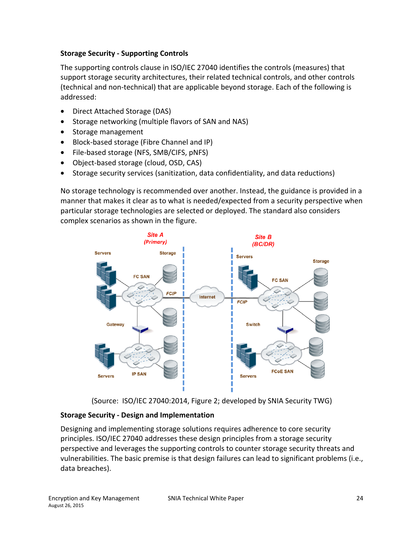#### **Storage Security - Supporting Controls**

The supporting controls clause in ISO/IEC 27040 identifies the controls (measures) that support storage security architectures, their related technical controls, and other controls (technical and non-technical) that are applicable beyond storage. Each of the following is addressed:

- Direct Attached Storage (DAS)
- Storage networking (multiple flavors of SAN and NAS)
- Storage management
- Block-based storage (Fibre Channel and IP)
- File-based storage (NFS, SMB/CIFS, pNFS)
- Object-based storage (cloud, OSD, CAS)
- Storage security services (sanitization, data confidentiality, and data reductions)

No storage technology is recommended over another. Instead, the guidance is provided in a manner that makes it clear as to what is needed/expected from a security perspective when particular storage technologies are selected or deployed. The standard also considers complex scenarios as shown in the figure.



(Source: ISO/IEC 27040:2014, Figure 2; developed by SNIA Security TWG)

#### **Storage Security - Design and Implementation**

Designing and implementing storage solutions requires adherence to core security principles. ISO/IEC 27040 addresses these design principles from a storage security perspective and leverages the supporting controls to counter storage security threats and vulnerabilities. The basic premise is that design failures can lead to significant problems (i.e., data breaches).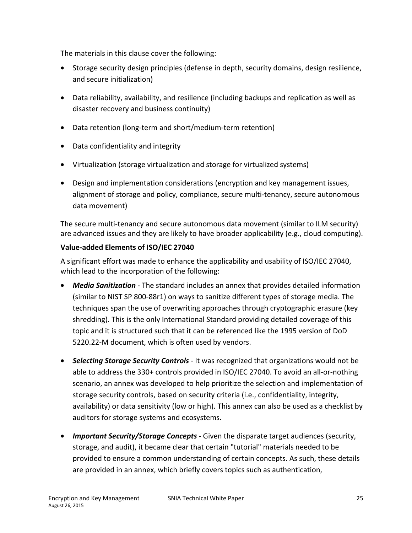The materials in this clause cover the following:

- Storage security design principles (defense in depth, security domains, design resilience, and secure initialization)
- Data reliability, availability, and resilience (including backups and replication as well as disaster recovery and business continuity)
- Data retention (long-term and short/medium-term retention)
- Data confidentiality and integrity
- Virtualization (storage virtualization and storage for virtualized systems)
- Design and implementation considerations (encryption and key management issues, alignment of storage and policy, compliance, secure multi-tenancy, secure autonomous data movement)

The secure multi-tenancy and secure autonomous data movement (similar to ILM security) are advanced issues and they are likely to have broader applicability (e.g., cloud computing).

#### **Value-added Elements of ISO/IEC 27040**

A significant effort was made to enhance the applicability and usability of ISO/IEC 27040, which lead to the incorporation of the following:

- *Media Sanitization* The standard includes an annex that provides detailed information (similar to NIST SP 800-88r1) on ways to sanitize different types of storage media. The techniques span the use of overwriting approaches through cryptographic erasure (key shredding). This is the only International Standard providing detailed coverage of this topic and it is structured such that it can be referenced like the 1995 version of DoD 5220.22-M document, which is often used by vendors.
- *Selecting Storage Security Controls* It was recognized that organizations would not be able to address the 330+ controls provided in ISO/IEC 27040. To avoid an all-or-nothing scenario, an annex was developed to help prioritize the selection and implementation of storage security controls, based on security criteria (i.e., confidentiality, integrity, availability) or data sensitivity (low or high). This annex can also be used as a checklist by auditors for storage systems and ecosystems.
- *Important Security/Storage Concepts* Given the disparate target audiences (security, storage, and audit), it became clear that certain "tutorial" materials needed to be provided to ensure a common understanding of certain concepts. As such, these details are provided in an annex, which briefly covers topics such as authentication,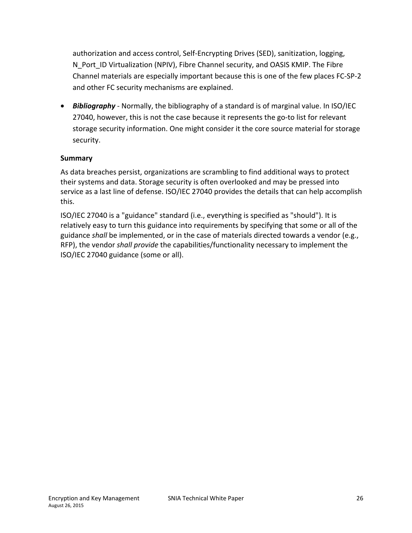authorization and access control, Self-Encrypting Drives (SED), sanitization, logging, N Port ID Virtualization (NPIV), Fibre Channel security, and OASIS KMIP. The Fibre Channel materials are especially important because this is one of the few places FC-SP-2 and other FC security mechanisms are explained.

• *Bibliography* - Normally, the bibliography of a standard is of marginal value. In ISO/IEC 27040, however, this is not the case because it represents the go-to list for relevant storage security information. One might consider it the core source material for storage security.

#### **Summary**

As data breaches persist, organizations are scrambling to find additional ways to protect their systems and data. Storage security is often overlooked and may be pressed into service as a last line of defense. ISO/IEC 27040 provides the details that can help accomplish this.

ISO/IEC 27040 is a "guidance" standard (i.e., everything is specified as "should"). It is relatively easy to turn this guidance into requirements by specifying that some or all of the guidance *shall* be implemented, or in the case of materials directed towards a vendor (e.g., RFP), the vendor *shall provide* the capabilities/functionality necessary to implement the ISO/IEC 27040 guidance (some or all).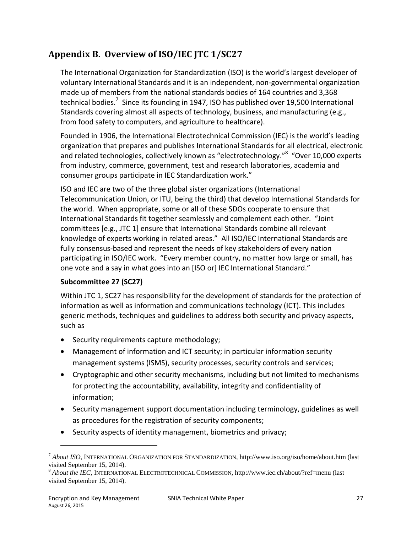# **Appendix B. Overview of ISO/IEC JTC 1/SC27**

The International Organization for Standardization (ISO) is the world's largest developer of voluntary International Standards and it is an independent, non-governmental organization made up of members from the national standards bodies of 164 countries and 3,368 technical bodies.<sup>7</sup> Since its founding in 1947, ISO has published over 19,500 International Standards covering almost all aspects of technology, business, and manufacturing (e.g., from food safety to computers, and agriculture to healthcare).

Founded in 1906, the International Electrotechnical Commission (IEC) is the world's leading organization that prepares and publishes International Standards for all electrical, electronic and related technologies, collectively known as "electrotechnology."<sup>8</sup> "Over 10,000 experts from industry, commerce, government, test and research laboratories, academia and consumer groups participate in IEC Standardization work."

ISO and IEC are two of the three global sister organizations (International Telecommunication Union, or ITU, being the third) that develop International Standards for the world. When appropriate, some or all of these SDOs cooperate to ensure that International Standards fit together seamlessly and complement each other. "Joint committees [e.g., JTC 1] ensure that International Standards combine all relevant knowledge of experts working in related areas." All ISO/IEC International Standards are fully consensus-based and represent the needs of key stakeholders of every nation participating in ISO/IEC work. "Every member country, no matter how large or small, has one vote and a say in what goes into an [ISO or] IEC International Standard."

#### **Subcommittee 27 (SC27)**

Within JTC 1, SC27 has responsibility for the development of standards for the protection of information as well as information and communications technology (ICT). This includes generic methods, techniques and guidelines to address both security and privacy aspects, such as

- Security requirements capture methodology;
- Management of information and ICT security; in particular information security management systems (ISMS), security processes, security controls and services;
- Cryptographic and other security mechanisms, including but not limited to mechanisms for protecting the accountability, availability, integrity and confidentiality of information;
- Security management support documentation including terminology, guidelines as well as procedures for the registration of security components;
- Security aspects of identity management, biometrics and privacy;

 $\overline{\phantom{a}}$ 

<sup>7</sup> *About ISO*, INTERNATIONAL ORGANIZATION FOR STANDARDIZATION, http://www.iso.org/iso/home/about.htm (last visited September 15, 2014).

<sup>8</sup> *About the IEC*, INTERNATIONAL ELECTROTECHNICAL COMMISSION, http://www.iec.ch/about/?ref=menu (last visited September 15, 2014).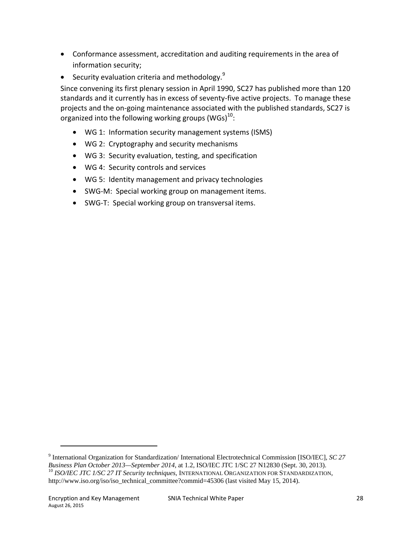- Conformance assessment, accreditation and auditing requirements in the area of information security;
- Security evaluation criteria and methodology. $9$

Since convening its first plenary session in April 1990, SC27 has published more than 120 standards and it currently has in excess of seventy-five active projects. To manage these projects and the on-going maintenance associated with the published standards, SC27 is organized into the following working groups (WGs) $^{10}$ :

- WG 1: Information security management systems (ISMS)
- WG 2: Cryptography and security mechanisms
- WG 3: Security evaluation, testing, and specification
- WG 4: Security controls and services
- WG 5: Identity management and privacy technologies
- SWG-M: Special working group on management items.
- SWG-T: Special working group on transversal items.

 $\overline{\phantom{a}}$ 

<sup>9</sup> International Organization for Standardization/ International Electrotechnical Commission [ISO/IEC], *SC 27 Business Plan October 2013—September 2014*, at 1.2, ISO/IEC JTC 1/SC 27 N12830 (Sept. 30, 2013).<br><sup>10</sup> *ISO/IEC JTC 1/SC 27 IT Security techniques*, INTERNATIONAL ORGANIZATION FOR STANDARDIZATION, http://www.iso.org/iso/iso\_technical\_committee?commid=45306 (last visited May 15, 2014).